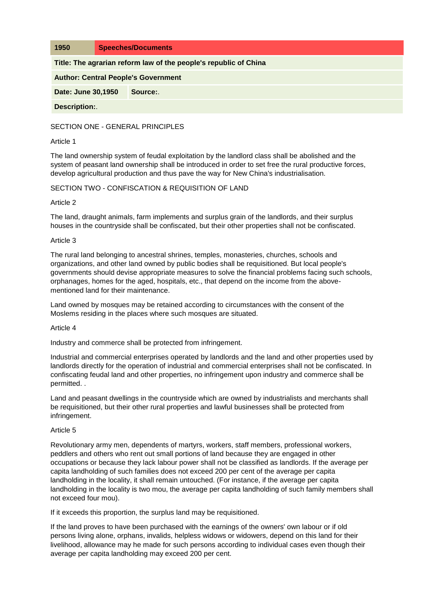**1950 Speeches/Documents**

**Title: The agrarian reform law of the people's republic of China**

**Author: Central People's Government**

**Date: June 30,1950 Source:**.

**Description:**.

SECTION ONE - GENERAL PRINCIPLES

### Article 1

The land ownership system of feudal exploitation by the landlord class shall be abolished and the system of peasant land ownership shall be introduced in order to set free the rural productive forces, develop agricultural production and thus pave the way for New China's industrialisation.

SECTION TWO - CONFISCATION & REQUISITION OF LAND

# Article 2

The land, draught animals, farm implements and surplus grain of the landlords, and their surplus houses in the countryside shall be confiscated, but their other properties shall not be confiscated.

# Article 3

The rural land belonging to ancestral shrines, temples, monasteries, churches, schools and organizations, and other land owned by public bodies shall be requisitioned. But local people's governments should devise appropriate measures to solve the financial problems facing such schools, orphanages, homes for the aged, hospitals, etc., that depend on the income from the abovementioned land for their maintenance.

Land owned by mosques may be retained according to circumstances with the consent of the Moslems residing in the places where such mosques are situated.

### Article 4

Industry and commerce shall be protected from infringement.

Industrial and commercial enterprises operated by landlords and the land and other properties used by landlords directly for the operation of industrial and commercial enterprises shall not be confiscated. In confiscating feudal land and other properties, no infringement upon industry and commerce shall be permitted. .

Land and peasant dwellings in the countryside which are owned by industrialists and merchants shall be requisitioned, but their other rural properties and lawful businesses shall be protected from infringement.

### Article 5

Revolutionary army men, dependents of martyrs, workers, staff members, professional workers, peddlers and others who rent out small portions of land because they are engaged in other occupations or because they lack labour power shall not be classified as landlords. If the average per capita landholding of such families does not exceed 200 per cent of the average per capita landholding in the locality, it shall remain untouched. (For instance, if the average per capita landholding in the locality is two mou, the average per capita landholding of such family members shall not exceed four mou).

If it exceeds this proportion, the surplus land may be requisitioned.

If the land proves to have been purchased with the earnings of the owners' own labour or if old persons living alone, orphans, invalids, helpless widows or widowers, depend on this land for their livelihood, allowance may he made for such persons according to individual cases even though their average per capita landholding may exceed 200 per cent.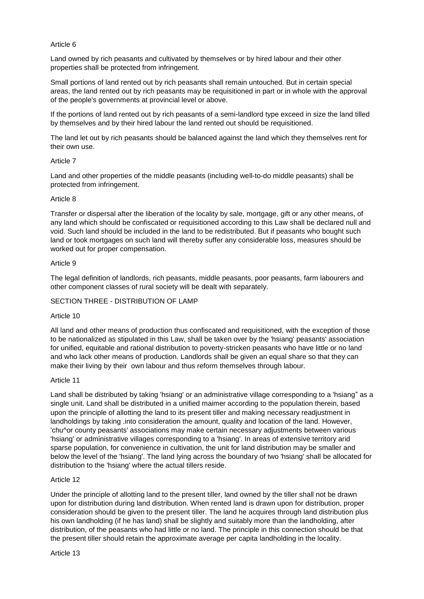# Article 6

Land owned by rich peasants and cultivated by themselves or by hired labour and their other properties shall be protected from infringement.

Small portions of land rented out by rich peasants shall remain untouched. But in certain special areas, the land rented out by rich peasants may be requisitioned in part or in whole with the approval of the people's governments at provincial level or above.

If the portions of land rented out by rich peasants of a semi-landlord type exceed in size the land tilled by themselves and by their hired labour the land rented out should be requisitioned.

The land let out by rich peasants should be balanced against the land which they themselves rent for their own use.

### Article 7

Land and other properties of the middle peasants (including well-to-do middle peasants) shall be protected from infringement.

# Article 8

Transfer or dispersal after the liberation of the locality by sale, mortgage, gift or any other means, of any land which should be confiscated or requisitioned according to this Law shall be declared null and void. Such land should be included in the land to be redistributed. But if peasants who bought such land or took mortgages on such land will thereby suffer any considerable loss, measures should be worked out for proper compensation.

# Article 9

The legal definition of landlords, rich peasants, middle peasants, poor peasants, farm labourers and other component classes of rural society will be dealt with separately.

# SECTION THREE - DISTRIBUTION OF LAMP

### Article 10

All land and other means of production thus confiscated and requisitioned, with the exception of those to be nationalized as stipulated in this Law, shall be taken over by the 'hsiang' peasants' association for unified, equitable and rational distribution to poverty-stricken peasants who have little or no land and who lack other means of production. Landlords shall be given an equal share so that they can make their living by their own labour and thus reform themselves through labour.

### Article 11

Land shall be distributed by taking 'hsiang' or an administrative village corresponding to a 'hsiang" as a single unit. Land shall be distributed in a unified maimer according to the population therein, based upon the principle of allotting the land to its present tiller and making necessary readjustment in landholdings by taking .into consideration the amount, quality and location of the land. However, 'chu^or county peasants' associations may make certain necessary adjustments between various 'hsiang' or administrative villages corresponding to a 'hsiang'. In areas of extensive territory arid sparse population, for convenience in cultivation, the unit for land distribution may be smaller and below the level of the 'hsiang'. The land lying across the boundary of two 'hsiang' shall be allocated for distribution to the 'hsiang' where the actual tillers reside.

### Article 12

Under the principle of allotting land to the present tiller, land owned by the tiller shall not be drawn upon for distribution during land distribution. When rented land is drawn upon for distribution, proper consideration should be given to the present tiller. The land he acquires through land distribution plus his own landholding (if he has land) shall be slightly and suitably more than the landholding, after distribution, of the peasants who had little or no land. The principle in this connection should be that the present tiller should retain the approximate average per capita landholding in the locality.

Article 13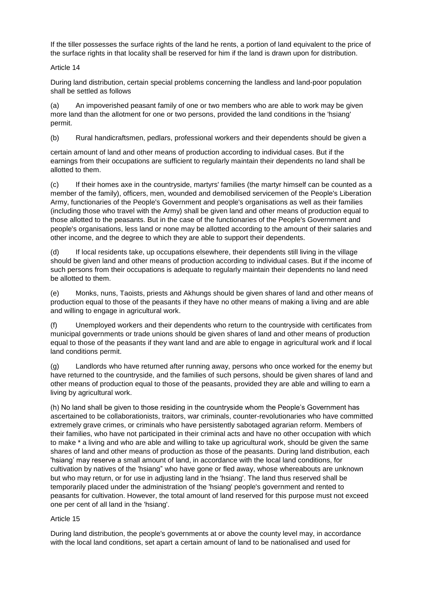If the tiller possesses the surface rights of the land he rents, a portion of land equivalent to the price of the surface rights in that locality shall be reserved for him if the land is drawn upon for distribution.

Article 14

During land distribution, certain special problems concerning the landless and land-poor population shall be settled as follows

(a) An impoverished peasant family of one or two members who are able to work may be given more land than the allotment for one or two persons, provided the land conditions in the 'hsiang' permit.

(b) Rural handicraftsmen, pedlars, professional workers and their dependents should be given a

certain amount of land and other means of production according to individual cases. But if the earnings from their occupations are sufficient to regularly maintain their dependents no land shall be allotted to them.

(c) If their homes axe in the countryside, martyrs' families (the martyr himself can be counted as a member of the family), officers, men, wounded and demobilised servicemen of the People's Liberation Army, functionaries of the People's Government and people's organisations as well as their families (including those who travel with the Army) shall be given land and other means of production equal to those allotted to the peasants. But in the case of the functionaries of the People's Government and people's organisations, less land or none may be allotted according to the amount of their salaries and other income, and the degree to which they are able to support their dependents.

(d) If local residents take, up occupations elsewhere, their dependents still living in the village should be given land and other means of production according to individual cases. But if the income of such persons from their occupations is adequate to regularly maintain their dependents no land need be allotted to them.

(e) Monks, nuns, Taoists, priests and Akhungs should be given shares of land and other means of production equal to those of the peasants if they have no other means of making a living and are able and willing to engage in agricultural work.

(f) Unemployed workers and their dependents who return to the countryside with certificates from municipal governments or trade unions should be given shares of land and other means of production equal to those of the peasants if they want land and are able to engage in agricultural work and if local land conditions permit.

(g) Landlords who have returned after running away, persons who once worked for the enemy but have returned to the countryside, and the families of such persons, should be given shares of land and other means of production equal to those of the peasants, provided they are able and willing to earn a living by agricultural work.

(h) No land shall be given to those residing in the countryside whom the People's Government has ascertained to be collaborationists, traitors, war criminals, counter-revolutionaries who have committed extremely grave crimes, or criminals who have persistently sabotaged agrarian reform. Members of their families, who have not participated in their criminal acts and have no other occupation with which to make \* a living and who are able and willing to take up agricultural work, should be given the same shares of land and other means of production as those of the peasants. During land distribution, each 'hsiang' may reserve a small amount of land, in accordance with the local land conditions, for cultivation by natives of the 'hsiang" who have gone or fled away, whose whereabouts are unknown but who may return, or for use in adjusting land in the 'hsiang'. The land thus reserved shall be temporarily placed under the administration of the 'hsiang' people's government and rented to peasants for cultivation. However, the total amount of land reserved for this purpose must not exceed one per cent of all land in the 'hsiang'.

# Article 15

During land distribution, the people's governments at or above the county level may, in accordance with the local land conditions, set apart a certain amount of land to be nationalised and used for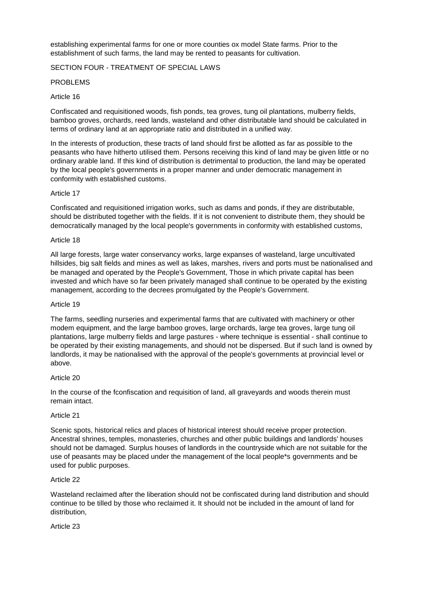establishing experimental farms for one or more counties ox model State farms. Prior to the establishment of such farms, the land may be rented to peasants for cultivation.

SECTION FOUR - TREATMENT OF SPECIAL LAWS

# PROBLEMS

# Article 16

Confiscated and requisitioned woods, fish ponds, tea groves, tung oil plantations, mulberry fields, bamboo groves, orchards, reed lands, wasteland and other distributable land should be calculated in terms of ordinary land at an appropriate ratio and distributed in a unified way.

In the interests of production, these tracts of land should first be allotted as far as possible to the peasants who have hitherto utilised them. Persons receiving this kind of land may be given little or no ordinary arable land. If this kind of distribution is detrimental to production, the land may be operated by the local people's governments in a proper manner and under democratic management in conformity with established customs.

# Article 17

Confiscated and requisitioned irrigation works, such as dams and ponds, if they are distributable, should be distributed together with the fields. If it is not convenient to distribute them, they should be democratically managed by the local people's governments in conformity with established customs,

### Article 18

All large forests, large water conservancy works, large expanses of wasteland, large uncultivated hillsides, big salt fields and mines as well as lakes, marshes, rivers and ports must be nationalised and be managed and operated by the People's Government, Those in which private capital has been invested and which have so far been privately managed shall continue to be operated by the existing management, according to the decrees promulgated by the People's Government.

### Article 19

The farms, seedling nurseries and experimental farms that are cultivated with machinery or other modem equipment, and the large bamboo groves, large orchards, large tea groves, large tung oil plantations, large mulberry fields and large pastures - where technique is essential - shall continue to be operated by their existing managements, and should not be dispersed. But if such land is owned by landlords, it may be nationalised with the approval of the people's governments at provincial level or above.

### Article 20

In the course of the fconfiscation and requisition of land, all graveyards and woods therein must remain intact.

### Article 21

Scenic spots, historical relics and places of historical interest should receive proper protection. Ancestral shrines, temples, monasteries, churches and other public buildings and landlords' houses should not be damaged. Surplus houses of landlords in the countryside which are not suitable for the use of peasants may be placed under the management of the local people\*s governments and be used for public purposes.

### Article 22

Wasteland reclaimed after the liberation should not be confiscated during land distribution and should continue to be tilled by those who reclaimed it. It should not be included in the amount of land for distribution,

Article 23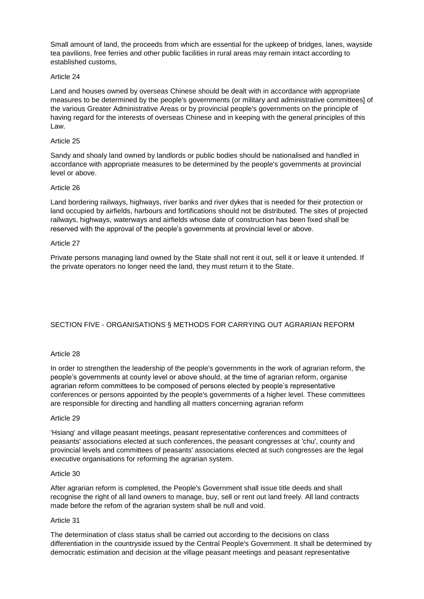Small amount of land, the proceeds from which are essential for the upkeep of bridges, lanes, wayside tea pavilions, free ferries and other public facilities in rural areas may remain intact according to established customs,

# Article 24

Land and houses owned by overseas Chinese should be dealt with in accordance with appropriate measures to be determined by the people's governments (or military and administrative committees] of the various Greater Administrative Areas or by provincial people's governments on the principle of having regard for the interests of overseas Chinese and in keeping with the general principles of this Law.

# Article 25

Sandy and shoaly land owned by landlords or public bodies should be nationalised and handled in accordance with appropriate measures to be determined by the people's governments at provincial level or above.

# Article 26

Land bordering railways, highways, river banks and river dykes that is needed for their protection or land occupied by airfields, harbours and fortifications should not be distributed. The sites of projected railways, highways, waterways and airfields whose date of construction has been fixed shall be reserved with the approval of the people's governments at provincial level or above.

# Article 27

Private persons managing land owned by the State shall not rent it out, sell it or leave it untended. If the private operators no longer need the land, they must return it to the State.

# SECTION FIVE - ORGANISATIONS § METHODS FOR CARRYING OUT AGRARIAN REFORM

# Article 28

In order to strengthen the leadership of the people's governments in the work of agrarian reform, the people's governments at county level or above should, at the time of agrarian reform, organise agrarian reform committees to be composed of persons elected by people's representative conferences or persons appointed by the people's governments of a higher level. These committees are responsible for directing and handling all matters concerning agrarian reform

### Article 29

'Hsiang' and village peasant meetings, peasant representative conferences and committees of peasants' associations elected at such conferences, the peasant congresses at 'chu', county and provincial levels and committees of peasants' associations elected at such congresses are the legal executive organisations for reforming the agrarian system.

### Article 30

After agrarian reform is completed, the People's Government shall issue title deeds and shall recognise the right of all land owners to manage, buy, sell or rent out land freely. All land contracts made before the refom of the agrarian system shall be null and void.

### Article 31

The determination of class status shall be carried out according to the decisions on class differentiation in the countryside issued by the Central People's Government. It shall be determined by democratic estimation and decision at the village peasant meetings and peasant representative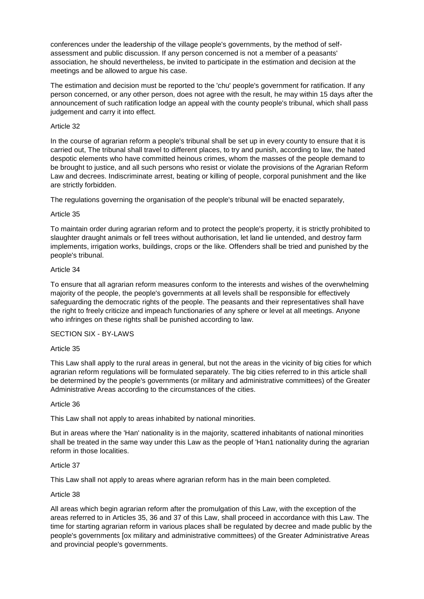conferences under the leadership of the village people's governments, by the method of selfassessment and public discussion. If any person concerned is not a member of a peasants' association, he should nevertheless, be invited to participate in the estimation and decision at the meetings and be allowed to argue his case.

The estimation and decision must be reported to the 'chu' people's government for ratification. If any person concerned, or any other person, does not agree with the result, he may within 15 days after the announcement of such ratification lodge an appeal with the county people's tribunal, which shall pass judgement and carry it into effect.

# Article 32

In the course of agrarian reform a people's tribunal shall be set up in every county to ensure that it is carried out, The tribunal shall travel to different places, to try and punish, according to law, the hated despotic elements who have committed heinous crimes, whom the masses of the people demand to be brought to justice, and all such persons who resist or violate the provisions of the Agrarian Reform Law and decrees. Indiscriminate arrest, beating or killing of people, corporal punishment and the like are strictly forbidden.

The regulations governing the organisation of the people's tribunal will be enacted separately,

# Article 35

To maintain order during agrarian reform and to protect the people's property, it is strictly prohibited to slaughter draught animals or fell trees without authorisation, let land lie untended, and destroy farm implements, irrigation works, buildings, crops or the like. Offenders shall be tried and punished by the people's tribunal.

### Article 34

To ensure that all agrarian reform measures conform to the interests and wishes of the overwhelming majority of the people, the people's governments at all levels shall be responsible for effectively safeguarding the democratic rights of the people. The peasants and their representatives shall have the right to freely criticize and impeach functionaries of any sphere or level at all meetings. Anyone who infringes on these rights shall be punished according to law.

# SECTION SIX - BY-LAWS

### Article 35

This Law shall apply to the rural areas in general, but not the areas in the vicinity of big cities for which agrarian reform regulations will be formulated separately. The big cities referred to in this article shall be determined by the people's governments (or military and administrative committees) of the Greater Administrative Areas according to the circumstances of the cities.

### Article 36

This Law shall not apply to areas inhabited by national minorities.

But in areas where the 'Han' nationality is in the majority, scattered inhabitants of national minorities shall be treated in the same way under this Law as the people of 'Han1 nationality during the agrarian reform in those localities.

### Article 37

This Law shall not apply to areas where agrarian reform has in the main been completed.

### Article 38

All areas which begin agrarian reform after the promulgation of this Law, with the exception of the areas referred to in Articles 35, 36 and 37 of this Law, shall proceed in accordance with this Law. The time for starting agrarian reform in various places shall be regulated by decree and made public by the people's governments [ox military and administrative committees) of the Greater Administrative Areas and provincial people's governments.